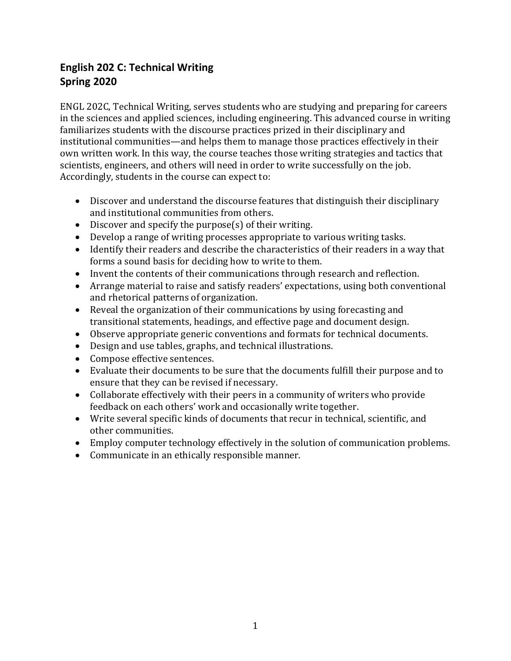# **English 202 C: Technical Writing Spring 2020**

ENGL 202C, Technical Writing, serves students who are studying and preparing for careers in the sciences and applied sciences, including engineering. This advanced course in writing familiarizes students with the discourse practices prized in their disciplinary and institutional communities—and helps them to manage those practices effectively in their own written work. In this way, the course teaches those writing strategies and tactics that scientists, engineers, and others will need in order to write successfully on the job. Accordingly, students in the course can expect to:

- Discover and understand the discourse features that distinguish their disciplinary and institutional communities from others.
- Discover and specify the purpose(s) of their writing.
- Develop a range of writing processes appropriate to various writing tasks.
- Identify their readers and describe the characteristics of their readers in a way that forms a sound basis for deciding how to write to them.
- Invent the contents of their communications through research and reflection.
- Arrange material to raise and satisfy readers' expectations, using both conventional and rhetorical patterns of organization.
- Reveal the organization of their communications by using forecasting and transitional statements, headings, and effective page and document design.
- Observe appropriate generic conventions and formats for technical documents.
- Design and use tables, graphs, and technical illustrations.
- Compose effective sentences.
- Evaluate their documents to be sure that the documents fulfill their purpose and to ensure that they can be revised if necessary.
- Collaborate effectively with their peers in a community of writers who provide feedback on each others' work and occasionally write together.
- Write several specific kinds of documents that recur in technical, scientific, and other communities.
- Employ computer technology effectively in the solution of communication problems.
- Communicate in an ethically responsible manner.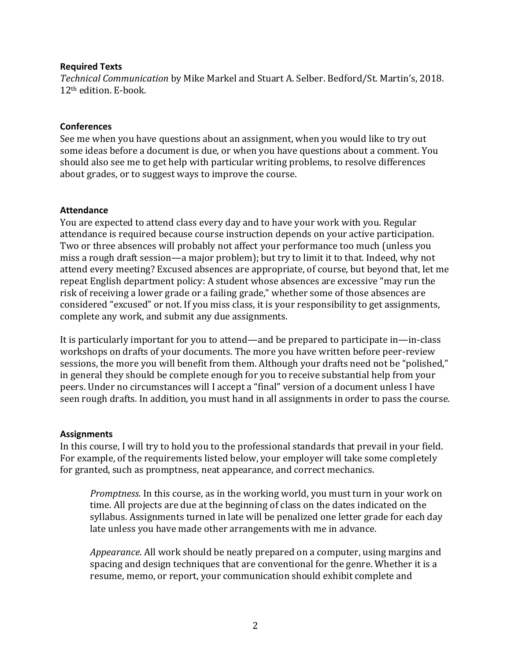#### **Required Texts**

*Technical Communication* by Mike Markel and Stuart A. Selber. Bedford/St. Martin's, 2018. 12th edition. E-book.

#### **Conferences**

See me when you have questions about an assignment, when you would like to try out some ideas before a document is due, or when you have questions about a comment. You should also see me to get help with particular writing problems, to resolve differences about grades, or to suggest ways to improve the course.

#### **Attendance**

You are expected to attend class every day and to have your work with you. Regular attendance is required because course instruction depends on your active participation. Two or three absences will probably not affect your performance too much (unless you miss a rough draft session—a major problem); but try to limit it to that. Indeed, why not attend every meeting? Excused absences are appropriate, of course, but beyond that, let me repeat English department policy: A student whose absences are excessive "may run the risk of receiving a lower grade or a failing grade," whether some of those absences are considered "excused" or not. If you miss class, it is your responsibility to get assignments, complete any work, and submit any due assignments.

It is particularly important for you to attend—and be prepared to participate in—in-class workshops on drafts of your documents. The more you have written before peer-review sessions, the more you will benefit from them. Although your drafts need not be "polished," in general they should be complete enough for you to receive substantial help from your peers. Under no circumstances will I accept a "final" version of a document unless I have seen rough drafts. In addition, you must hand in all assignments in order to pass the course.

#### **Assignments**

In this course, I will try to hold you to the professional standards that prevail in your field. For example, of the requirements listed below, your employer will take some completely for granted, such as promptness, neat appearance, and correct mechanics.

*Promptness.* In this course, as in the working world, you must turn in your work on time. All projects are due at the beginning of class on the dates indicated on the syllabus. Assignments turned in late will be penalized one letter grade for each day late unless you have made other arrangements with me in advance.

*Appearance.* All work should be neatly prepared on a computer, using margins and spacing and design techniques that are conventional for the genre. Whether it is a resume, memo, or report, your communication should exhibit complete and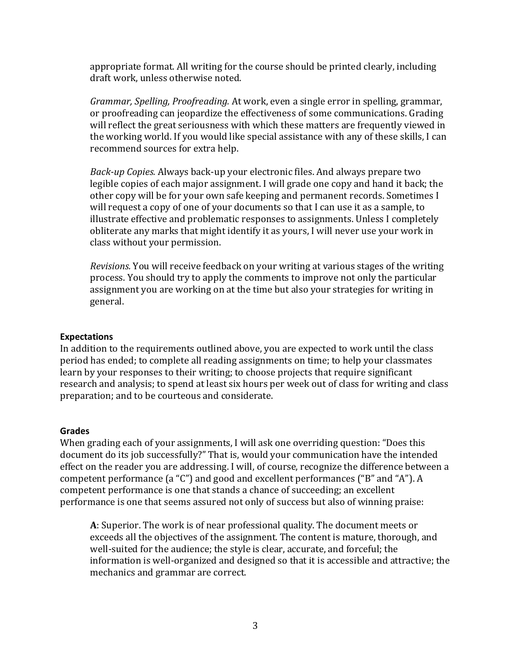appropriate format. All writing for the course should be printed clearly, including draft work, unless otherwise noted.

*Grammar, Spelling, Proofreading.* At work, even a single error in spelling, grammar, or proofreading can jeopardize the effectiveness of some communications. Grading will reflect the great seriousness with which these matters are frequently viewed in the working world. If you would like special assistance with any of these skills, I can recommend sources for extra help.

*Back-up Copies.* Always back-up your electronic files. And always prepare two legible copies of each major assignment. I will grade one copy and hand it back; the other copy will be for your own safe keeping and permanent records. Sometimes I will request a copy of one of your documents so that I can use it as a sample, to illustrate effective and problematic responses to assignments. Unless I completely obliterate any marks that might identify it as yours, I will never use your work in class without your permission.

*Revisions.* You will receive feedback on your writing at various stages of the writing process. You should try to apply the comments to improve not only the particular assignment you are working on at the time but also your strategies for writing in general.

#### **Expectations**

In addition to the requirements outlined above, you are expected to work until the class period has ended; to complete all reading assignments on time; to help your classmates learn by your responses to their writing; to choose projects that require significant research and analysis; to spend at least six hours per week out of class for writing and class preparation; and to be courteous and considerate.

#### **Grades**

When grading each of your assignments, I will ask one overriding question: "Does this document do its job successfully?" That is, would your communication have the intended effect on the reader you are addressing. I will, of course, recognize the difference between a competent performance (a "C") and good and excellent performances ("B" and "A"). A competent performance is one that stands a chance of succeeding; an excellent performance is one that seems assured not only of success but also of winning praise:

**A**: Superior. The work is of near professional quality. The document meets or exceeds all the objectives of the assignment. The content is mature, thorough, and well-suited for the audience; the style is clear, accurate, and forceful; the information is well-organized and designed so that it is accessible and attractive; the mechanics and grammar are correct.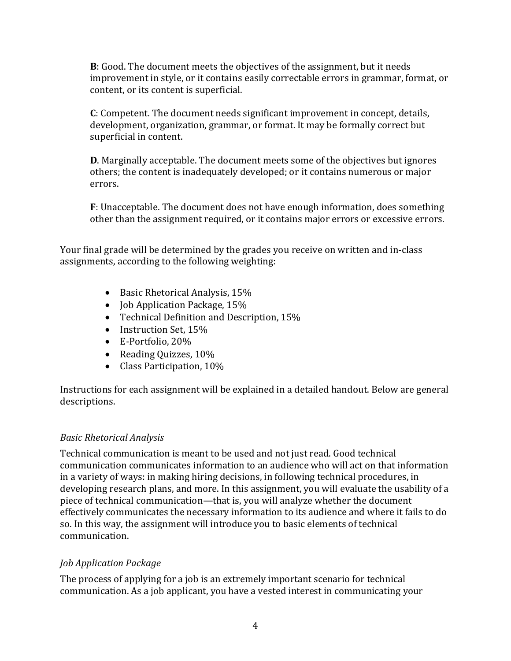**B**: Good. The document meets the objectives of the assignment, but it needs improvement in style, or it contains easily correctable errors in grammar, format, or content, or its content is superficial.

**C**: Competent. The document needs significant improvement in concept, details, development, organization, grammar, or format. It may be formally correct but superficial in content.

**D**. Marginally acceptable. The document meets some of the objectives but ignores others; the content is inadequately developed; or it contains numerous or major errors.

**F**: Unacceptable. The document does not have enough information, does something other than the assignment required, or it contains major errors or excessive errors.

Your final grade will be determined by the grades you receive on written and in-class assignments, according to the following weighting:

- Basic Rhetorical Analysis, 15%
- **Job Application Package, 15%**
- Technical Definition and Description, 15%
- Instruction Set, 15%
- E-Portfolio, 20%
- Reading Quizzes, 10%
- Class Participation, 10%

Instructions for each assignment will be explained in a detailed handout. Below are general descriptions.

# *Basic Rhetorical Analysis*

Technical communication is meant to be used and not just read. Good technical communication communicates information to an audience who will act on that information in a variety of ways: in making hiring decisions, in following technical procedures, in developing research plans, and more. In this assignment, you will evaluate the usability of a piece of technical communication—that is, you will analyze whether the document effectively communicates the necessary information to its audience and where it fails to do so. In this way, the assignment will introduce you to basic elements of technical communication.

# *Job Application Package*

The process of applying for a job is an extremely important scenario for technical communication. As a job applicant, you have a vested interest in communicating your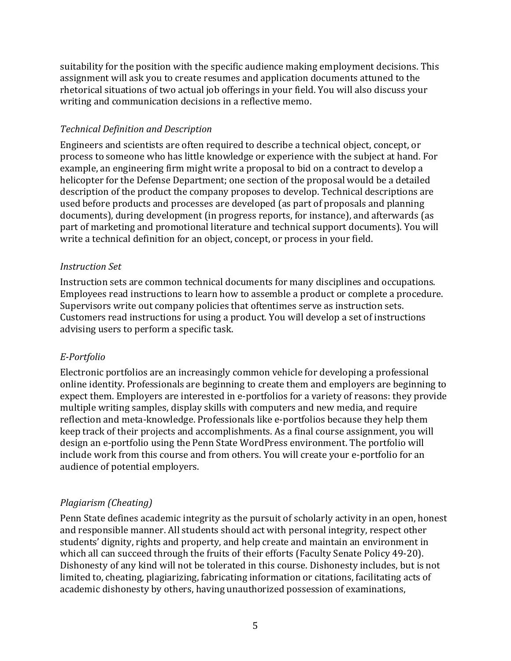suitability for the position with the specific audience making employment decisions. This assignment will ask you to create resumes and application documents attuned to the rhetorical situations of two actual job offerings in your field. You will also discuss your writing and communication decisions in a reflective memo.

# *Technical Definition and Description*

Engineers and scientists are often required to describe a technical object, concept, or process to someone who has little knowledge or experience with the subject at hand. For example, an engineering firm might write a proposal to bid on a contract to develop a helicopter for the Defense Department; one section of the proposal would be a detailed description of the product the company proposes to develop. Technical descriptions are used before products and processes are developed (as part of proposals and planning documents), during development (in progress reports, for instance), and afterwards (as part of marketing and promotional literature and technical support documents). You will write a technical definition for an object, concept, or process in your field.

# *Instruction Set*

Instruction sets are common technical documents for many disciplines and occupations. Employees read instructions to learn how to assemble a product or complete a procedure. Supervisors write out company policies that oftentimes serve as instruction sets. Customers read instructions for using a product. You will develop a set of instructions advising users to perform a specific task.

# *E-Portfolio*

Electronic portfolios are an increasingly common vehicle for developing a professional online identity. Professionals are beginning to create them and employers are beginning to expect them. Employers are interested in e-portfolios for a variety of reasons: they provide multiple writing samples, display skills with computers and new media, and require reflection and meta-knowledge. Professionals like e-portfolios because they help them keep track of their projects and accomplishments. As a final course assignment, you will design an e-portfolio using the Penn State WordPress environment. The portfolio will include work from this course and from others. You will create your e-portfolio for an audience of potential employers.

# *Plagiarism (Cheating)*

Penn State defines academic integrity as the pursuit of scholarly activity in an open, honest and responsible manner. All students should act with personal integrity, respect other students' dignity, rights and property, and help create and maintain an environment in which all can succeed through the fruits of their efforts (Faculty Senate Policy 49-20). Dishonesty of any kind will not be tolerated in this course. Dishonesty includes, but is not limited to, cheating, plagiarizing, fabricating information or citations, facilitating acts of academic dishonesty by others, having unauthorized possession of examinations,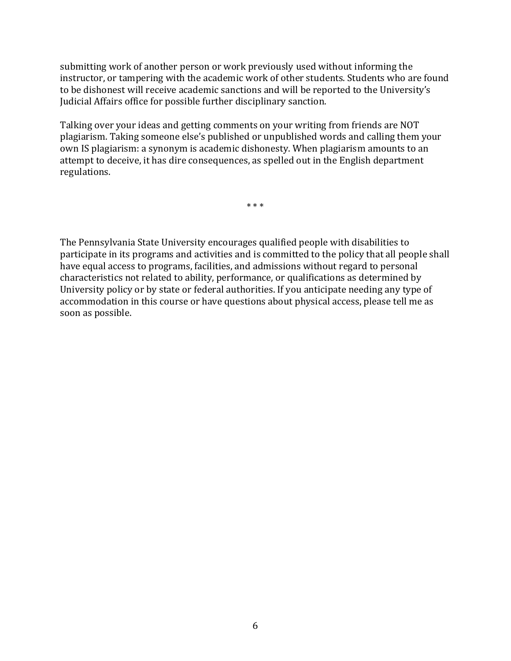submitting work of another person or work previously used without informing the instructor, or tampering with the academic work of other students. Students who are found to be dishonest will receive academic sanctions and will be reported to the University's Judicial Affairs office for possible further disciplinary sanction.

Talking over your ideas and getting comments on your writing from friends are NOT plagiarism. Taking someone else's published or unpublished words and calling them your own IS plagiarism: a synonym is academic dishonesty. When plagiarism amounts to an attempt to deceive, it has dire consequences, as spelled out in the English department regulations.

\* \* \*

The Pennsylvania State University encourages qualified people with disabilities to participate in its programs and activities and is committed to the policy that all people shall have equal access to programs, facilities, and admissions without regard to personal characteristics not related to ability, performance, or qualifications as determined by University policy or by state or federal authorities. If you anticipate needing any type of accommodation in this course or have questions about physical access, please tell me as soon as possible.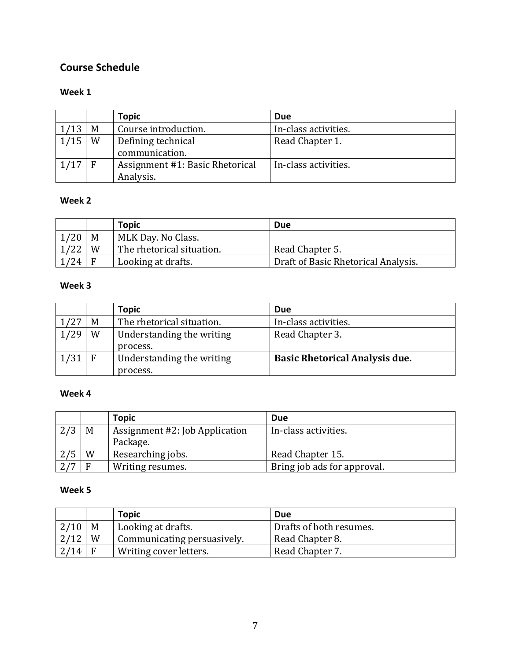# **Course Schedule**

## **Week 1**

|          |   | <b>Topic</b>                                 | Due                  |
|----------|---|----------------------------------------------|----------------------|
| 1/13     | M | Course introduction.                         | In-class activities. |
| 1/15     | W | Defining technical<br>communication.         | Read Chapter 1.      |
| $1/17$ F |   | Assignment #1: Basic Rhetorical<br>Analysis. | In-class activities. |

## **Week 2**

|      |          | <b>Topic</b>              | Due                                 |
|------|----------|---------------------------|-------------------------------------|
| 1/20 | M        | MLK Day. No Class.        |                                     |
| 1/22 | W        | The rhetorical situation. | Read Chapter 5.                     |
| 1/24 | <b>F</b> | Looking at drafts.        | Draft of Basic Rhetorical Analysis. |

## **Week 3**

|      |   | <b>Topic</b>              | Due                                   |
|------|---|---------------------------|---------------------------------------|
|      | M | The rhetorical situation. | In-class activities.                  |
| 1/29 | W | Understanding the writing | Read Chapter 3.                       |
|      |   | process.                  |                                       |
| 1/31 |   | Understanding the writing | <b>Basic Rhetorical Analysis due.</b> |
|      |   | process.                  |                                       |

## **Week 4**

|     |   | <b>Topic</b>                   | <b>Due</b>                  |
|-----|---|--------------------------------|-----------------------------|
| 2/3 | M | Assignment #2: Job Application | In-class activities.        |
|     |   | Package.                       |                             |
| 2/5 | W | Researching jobs.              | Read Chapter 15.            |
|     | F | Writing resumes.               | Bring job ads for approval. |

#### **Week 5**

|      |   | <b>Topic</b>                | Due                     |
|------|---|-----------------------------|-------------------------|
| 2/10 | M | Looking at drafts.          | Drafts of both resumes. |
| 2/12 | W | Communicating persuasively. | Read Chapter 8.         |
| 2/14 |   | Writing cover letters.      | Read Chapter 7.         |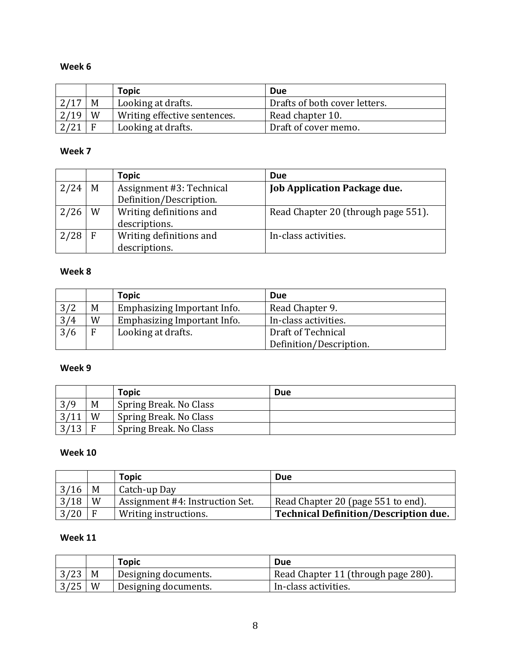# **Week 6**

|      |   | <b>Topic</b>                 | <b>Due</b>                    |
|------|---|------------------------------|-------------------------------|
| 2/17 | M | Looking at drafts.           | Drafts of both cover letters. |
| 2/19 | W | Writing effective sentences. | Read chapter 10.              |
|      |   | Looking at drafts.           | Draft of cover memo.          |

#### **Week 7**

|      |   | Topic                    | <b>Due</b>                          |
|------|---|--------------------------|-------------------------------------|
| 2/24 | M | Assignment #3: Technical | <b>Job Application Package due.</b> |
|      |   | Definition/Description.  |                                     |
| 2/26 | W | Writing definitions and  | Read Chapter 20 (through page 551). |
|      |   | descriptions.            |                                     |
| 2/28 | F | Writing definitions and  | In-class activities.                |
|      |   | descriptions.            |                                     |

# **Week 8**

|     |   | <b>Topic</b>                | <b>Due</b>              |
|-----|---|-----------------------------|-------------------------|
| 3/2 | M | Emphasizing Important Info. | Read Chapter 9.         |
| 3/4 | W | Emphasizing Important Info. | In-class activities.    |
| 3/6 | F | Looking at drafts.          | Draft of Technical      |
|     |   |                             | Definition/Description. |

## **Week 9**

|      |   | <b>Topic</b>             | Due |
|------|---|--------------------------|-----|
| 3/9  | M | ' Spring Break. No Class |     |
|      | W | Spring Break. No Class   |     |
| 3/13 |   | Spring Break. No Class   |     |

# **Week 10**

|      |   | <b>Topic</b>                    | Due                                          |
|------|---|---------------------------------|----------------------------------------------|
| 3/16 | M | Catch-up Day                    |                                              |
| 3/18 | W | Assignment #4: Instruction Set. | Read Chapter 20 (page 551 to end).           |
| 3/20 |   | Writing instructions.           | <b>Technical Definition/Description due.</b> |

# **Week 11**

|                    |   | <b>Topic</b>                      | Due                                 |
|--------------------|---|-----------------------------------|-------------------------------------|
| $3/23$   M         |   | Designing documents.              | Read Chapter 11 (through page 280). |
| $\vert 3/25 \vert$ | W | <sup>1</sup> Designing documents. | In-class activities.                |